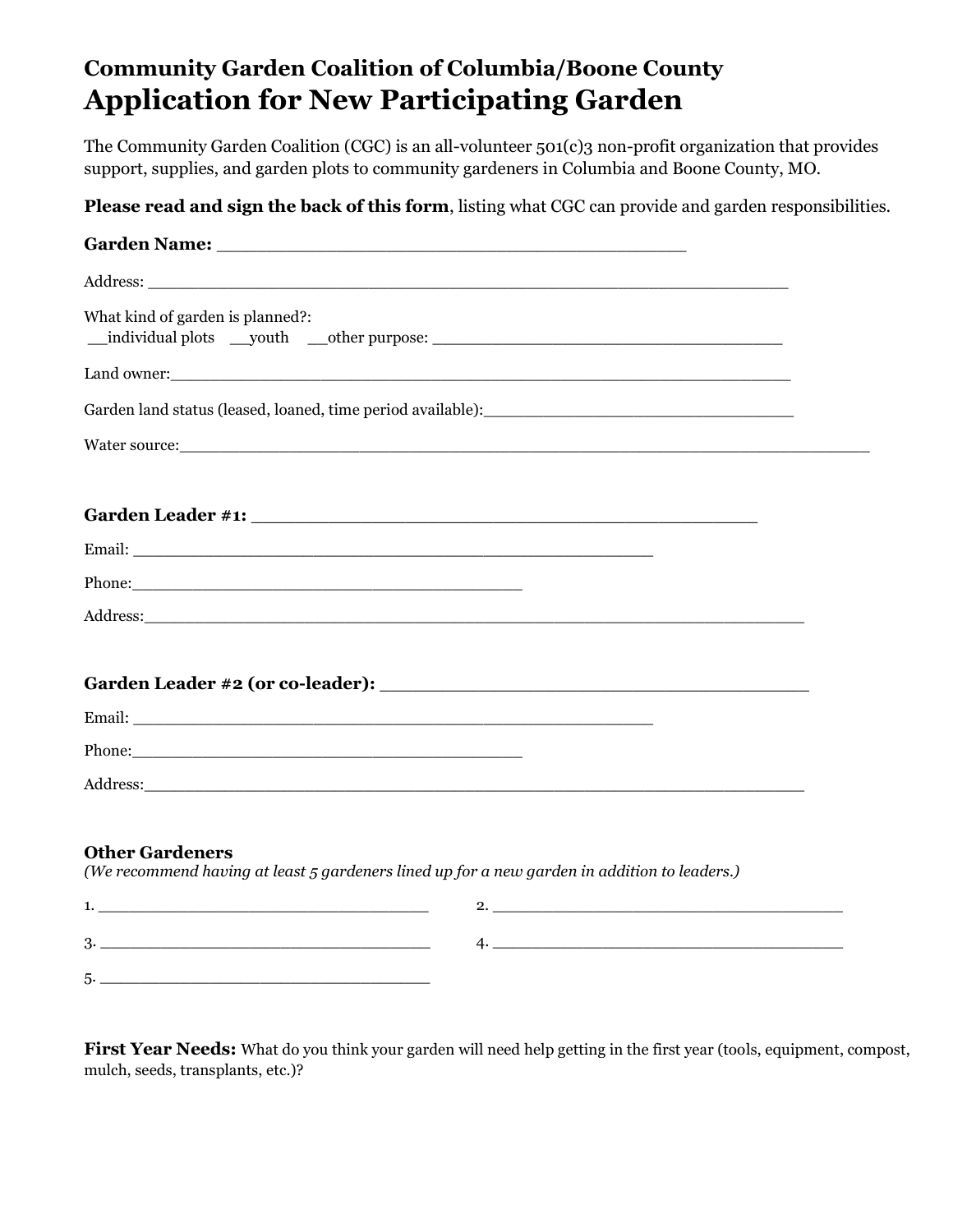## **Community Garden Coalition of Columbia/Boone County Application for New Participating Garden**

The Community Garden Coalition (CGC) is an all-volunteer 501(c)3 non-profit organization that provides support, supplies, and garden plots to community gardeners in Columbia and Boone County, MO.

**Please read and sign the back of this form**, listing what CGC can provide and garden responsibilities.

| What kind of garden is planned?:                                                                     |                                                                                              |
|------------------------------------------------------------------------------------------------------|----------------------------------------------------------------------------------------------|
|                                                                                                      |                                                                                              |
|                                                                                                      | Garden land status (leased, loaned, time period available):                                  |
|                                                                                                      |                                                                                              |
|                                                                                                      |                                                                                              |
|                                                                                                      |                                                                                              |
|                                                                                                      |                                                                                              |
| Address: Address: Address: Address: Address: Address: Address: Address: Address: Address: Address: A |                                                                                              |
|                                                                                                      |                                                                                              |
|                                                                                                      |                                                                                              |
|                                                                                                      |                                                                                              |
|                                                                                                      |                                                                                              |
| <b>Other Gardeners</b>                                                                               | (We recommend having at least 5 gardeners lined up for a new garden in addition to leaders.) |
|                                                                                                      | 2.                                                                                           |
|                                                                                                      |                                                                                              |
|                                                                                                      |                                                                                              |

**First Year Needs:** What do you think your garden will need help getting in the first year (tools, equipment, compost, mulch, seeds, transplants, etc.)?